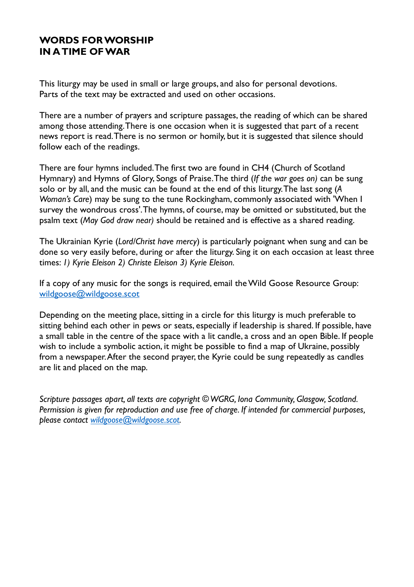# **WORDS FOR WORSHIP IN A TIME OF WAR**

This liturgy may be used in small or large groups, and also for personal devotions. Parts of the text may be extracted and used on other occasions.

There are a number of prayers and scripture passages, the reading of which can be shared among those attending. There is one occasion when it is suggested that part of a recent news report is read. There is no sermon or homily, but it is suggested that silence should follow each of the readings.

There are four hymns included. The first two are found in CH4 (Church of Scotland Hymnary) and Hymns of Glory, Songs of Praise. The third (*If the war goes on)* can be sung solo or by all, and the music can be found at the end of this liturgy. The last song (*A Woman's Care*) may be sung to the tune Rockingham, commonly associated with 'When I survey the wondrous cross'. The hymns, of course, may be omitted or substituted, but the psalm text (*May God draw near)* should be retained and is effective as a shared reading.

The Ukrainian Kyrie (*Lord/Christ have mercy*) is particularly poignant when sung and can be done so very easily before, during or after the liturgy. Sing it on each occasion at least three times: *1) Kyrie Eleison 2) Christe Eleison 3) Kyrie Eleison.*

If a copy of any music for the songs is required, email the Wild Goose Resource Group: wildgoose@wildgoose.scot

Depending on the meeting place, sitting in a circle for this liturgy is much preferable to sitting behind each other in pews or seats, especially if leadership is shared. If possible, have a small table in the centre of the space with a lit candle, a cross and an open Bible. If people wish to include a symbolic action, it might be possible to find a map of Ukraine, possibly from a newspaper. After the second prayer, the Kyrie could be sung repeatedly as candles are lit and placed on the map.

*Scripture passages apart, all texts are copyright © WGRG, Iona Community, Glasgow, Scotland. Permission is given for reproduction and use free of charge. If intended for commercial purposes, please contact wildgoose@wildgoose.scot.*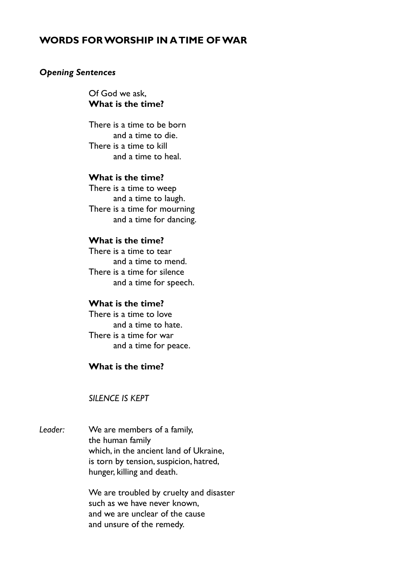# **WORDS FOR WORSHIP IN A TIME OF WAR**

#### *Opening Sentences*

Of God we ask, **What is the time?**

 There is a time to be born and a time to die. There is a time to kill and a time to heal.

## **What is the time?**

 There is a time to weep and a time to laugh. There is a time for mourning and a time for dancing.

## **What is the time?**

There is a time to tear and a time to mend. There is a time for silence and a time for speech.

#### **What is the time?**

 There is a time to love and a time to hate. There is a time for war and a time for peace.

## **What is the time?**

## *SILENCE IS KEPT*

*Leader:* We are members of a family, the human family which, in the ancient land of Ukraine, is torn by tension, suspicion, hatred, hunger, killing and death.

> We are troubled by cruelty and disaster such as we have never known, and we are unclear of the cause and unsure of the remedy.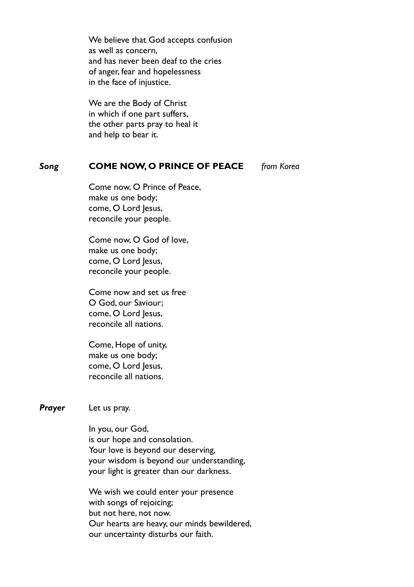We believe that God accepts confusion as well as concern, and has never been deaf to the cries of anger, fear and hopelessness in the face of injustice.

 We are the Body of Christ in which if one part suffers, the other parts pray to heal it and help to bear it.

## *Song* **COME NOW, O PRINCE OF PEACE** *from Korea*

Come now, O Prince of Peace, make us one body; come, O Lord Jesus, reconcile your people.

Come now, O God of love, make us one body; come, O Lord Jesus, reconcile your people.

 Come now and set us free O God, our Saviour; come, O Lord Jesus, reconcile all nations.

 Come, Hope of unity, make us one body; come, O Lord Jesus, reconcile all nations.

**Prayer** Let us pray.

 In you, our God, is our hope and consolation. Your love is beyond our deserving, your wisdom is beyond our understanding, your light is greater than our darkness.

 We wish we could enter your presence with songs of rejoicing; but not here, not now. Our hearts are heavy, our minds bewildered, our uncertainty disturbs our faith.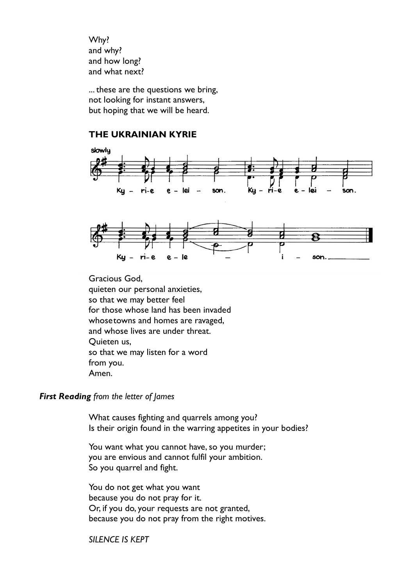Why? and why? and how long? and what next?

 ... these are the questions we bring, not looking for instant answers, but hoping that we will be heard.

## **THE UKRAINIAN KYRIE**





Gracious God, quieten our personal anxieties, so that we may better feel for those whose land has been invaded whose towns and homes are ravaged, and whose lives are under threat. Quieten us, so that we may listen for a word from you. Amen.

#### *First Reading from the letter of James*

 What causes fighting and quarrels among you? Is their origin found in the warring appetites in your bodies?

You want what you cannot have, so you murder; you are envious and cannot fulfil your ambition. So you quarrel and fight.

 You do not get what you want because you do not pray for it. Or, if you do, your requests are not granted, because you do not pray from the right motives.

 *SILENCE IS KEPT*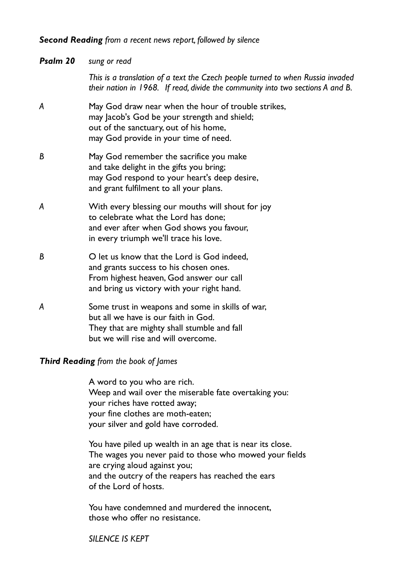## *Second Reading from a recent news report, followed by silence*

| Psalm 20 | sung or read                                                                                                                                                                           |
|----------|----------------------------------------------------------------------------------------------------------------------------------------------------------------------------------------|
|          | This is a translation of a text the Czech people turned to when Russia invaded<br>their nation in 1968. If read, divide the community into two sections A and B.                       |
| A        | May God draw near when the hour of trouble strikes,<br>may Jacob's God be your strength and shield;<br>out of the sanctuary, out of his home,<br>may God provide in your time of need. |
| B        | May God remember the sacrifice you make<br>and take delight in the gifts you bring;<br>may God respond to your heart's deep desire,<br>and grant fulfilment to all your plans.         |
| A        | With every blessing our mouths will shout for joy<br>to celebrate what the Lord has done:<br>and ever after when God shows you favour,<br>in every triumph we'll trace his love.       |
| B        | O let us know that the Lord is God indeed,<br>and grants success to his chosen ones.<br>From highest heaven, God answer our call<br>and bring us victory with your right hand.         |
| A        | Some trust in weapons and some in skills of war,<br>but all we have is our faith in God.<br>They that are mighty shall stumble and fall<br>but we will rise and will overcome.         |

## *Third Reading from the book of James*

 A word to you who are rich. Weep and wail over the miserable fate overtaking you: your riches have rotted away; your fine clothes are moth-eaten; your silver and gold have corroded.

 You have piled up wealth in an age that is near its close. The wages you never paid to those who mowed your fields are crying aloud against you; and the outcry of the reapers has reached the ears of the Lord of hosts.

 You have condemned and murdered the innocent, those who offer no resistance.

*SILENCE IS KEPT*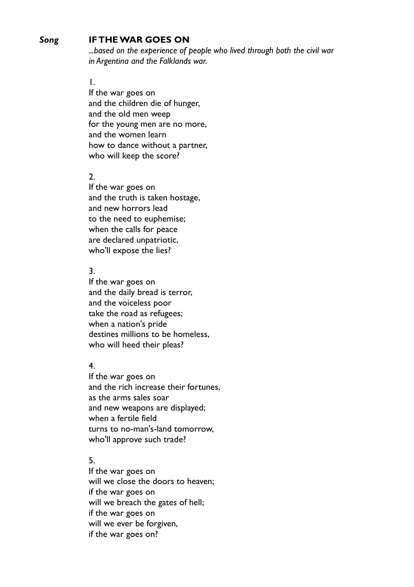## *Song* **IF THE WAR GOES ON**

 *...based on the experience of people who lived through both the civil war in Argentina and the Falklands war.*

## 1. **1.** 1.

 If the war goes on and the children die of hunger, and the old men weep for the young men are no more, and the women learn how to dance without a partner, who will keep the score?

## 2.

 If the war goes on and the truth is taken hostage, and new horrors lead to the need to euphemise; when the calls for peace are declared unpatriotic, who'll expose the lies?

## 3.

 If the war goes on and the daily bread is terror, and the voiceless poor take the road as refugees; when a nation's pride destines millions to be homeless, who will heed their pleas?

## 4.

If the war goes on and the rich increase their fortunes, as the arms sales soar and new weapons are displayed; when a fertile field turns to no-man's-land tomorrow, who'll approve such trade?

## 5.

If the war goes on will we close the doors to heaven; if the war goes on will we breach the gates of hell; if the war goes on will we ever be forgiven, if the war goes on?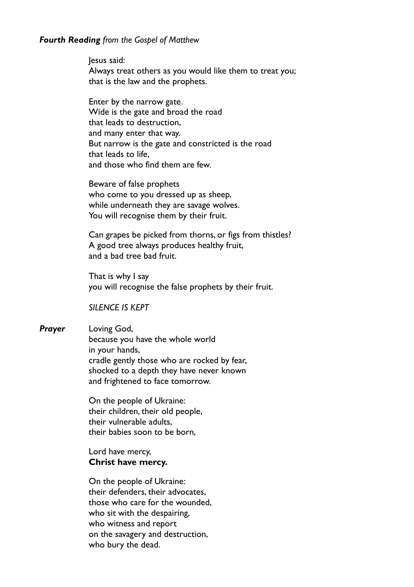#### *Fourth Reading from the Gospel of Matthew*

 Jesus said: Always treat others as you would like them to treat you; that is the law and the prophets.

 Enter by the narrow gate. Wide is the gate and broad the road that leads to destruction, and many enter that way. But narrow is the gate and constricted is the road that leads to life, and those who find them are few.

Beware of false prophets who come to you dressed up as sheep, while underneath they are savage wolves. You will recognise them by their fruit.

Can grapes be picked from thorns, or figs from thistles? A good tree always produces healthy fruit, and a bad tree bad fruit.

That is why I say you will recognise the false prophets by their fruit.

*SILENCE IS KEPT*

*Prayer* Loving God, because you have the whole world in your hands, cradle gently those who are rocked by fear, shocked to a depth they have never known and frightened to face tomorrow.

> On the people of Ukraine: their children, their old people, their vulnerable adults, their babies soon to be born,

#### Lord have mercy, **Christ have mercy.**

On the people of Ukraine: their defenders, their advocates, those who care for the wounded, who sit with the despairing, who witness and report on the savagery and destruction, who bury the dead.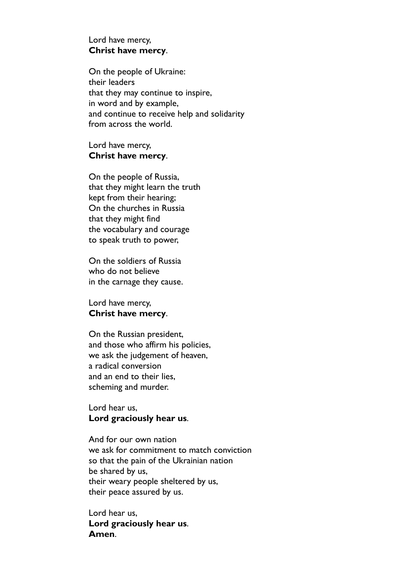### Lord have mercy, **Christ have mercy**.

On the people of Ukraine: their leaders that they may continue to inspire, in word and by example, and continue to receive help and solidarity from across the world.

### Lord have mercy, **Christ have mercy**.

On the people of Russia, that they might learn the truth kept from their hearing; On the churches in Russia that they might find the vocabulary and courage to speak truth to power,

On the soldiers of Russia who do not believe in the carnage they cause.

Lord have mercy, **Christ have mercy**.

On the Russian president, and those who affirm his policies, we ask the judgement of heaven, a radical conversion and an end to their lies, scheming and murder.

## Lord hear us, **Lord graciously hear us**.

And for our own nation we ask for commitment to match conviction so that the pain of the Ukrainian nation be shared by us, their weary people sheltered by us, their peace assured by us.

Lord hear us, **Lord graciously hear us**. **Amen**.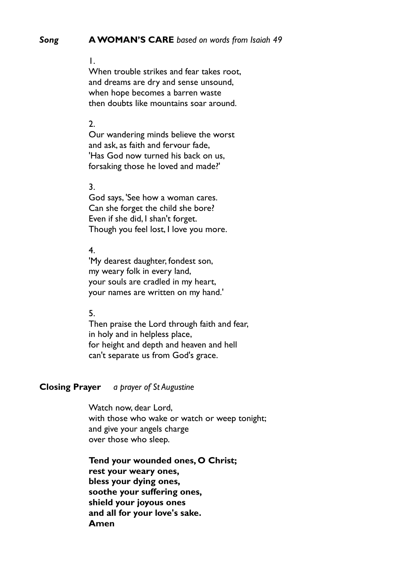#### *Song* **A WOMAN'S CARE** *based on words from Isaiah 49*

#### 1.

When trouble strikes and fear takes root, and dreams are dry and sense unsound, when hope becomes a barren waste then doubts like mountains soar around.

#### 2.

Our wandering minds believe the worst and ask, as faith and fervour fade, 'Has God now turned his back on us, forsaking those he loved and made?'

#### 3.

God says, 'See how a woman cares. Can she forget the child she bore? Even if she did, I shan't forget. Though you feel lost, I love you more.

#### 4.

'My dearest daughter, fondest son, my weary folk in every land, your souls are cradled in my heart, your names are written on my hand.'

#### 5.

Then praise the Lord through faith and fear, in holy and in helpless place, for height and depth and heaven and hell can't separate us from God's grace.

#### **Closing Prayer** *a prayer of St Augustine*

Watch now, dear Lord, with those who wake or watch or weep tonight; and give your angels charge over those who sleep.

**Tend your wounded ones, O Christ; rest your weary ones, bless your dying ones, soothe your suffering ones, shield your joyous ones and all for your love's sake. Amen**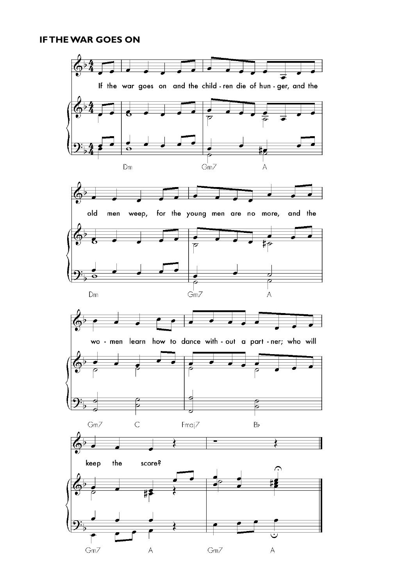## **IF THE WAR GOES ON**

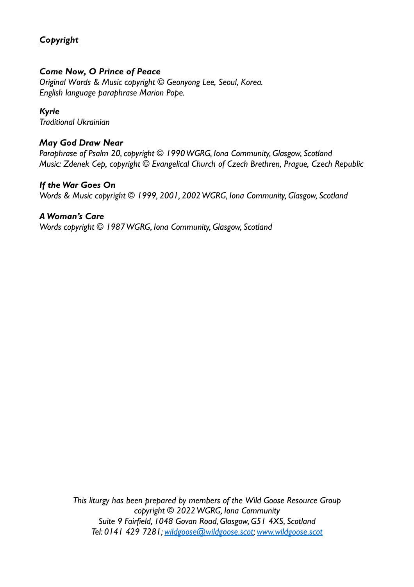# *Copyright*

## *Come Now, O Prince of Peace*

*Original Words & Music copyright © Geonyong Lee, Seoul, Korea. English language paraphrase Marion Pope.* 

## *Kyrie*

*Traditional Ukrainian* 

## *May God Draw Near*

*Paraphrase of Psalm 20, copyright © 1990 WGRG, Iona Community, Glasgow, Scotland Music: Zdenek Cep, copyright © Evangelical Church of Czech Brethren, Prague, Czech Republic* 

## *If the War Goes On*

*Words & Music copyright © 1999, 2001, 2002 WGRG, Iona Community, Glasgow, Scotland* 

## *A Woman's Care*

*Words copyright © 1987 WGRG, Iona Community, Glasgow, Scotland* 

*This liturgy has been prepared by members of the Wild Goose Resource Group copyright © 2022 WGRG, Iona Community Suite 9 Fairfield, 1048 Govan Road, Glasgow, G51 4XS, Scotland Tel: 0141 429 7281; wildgoose@wildgoose.scot; www.wildgoose.scot*